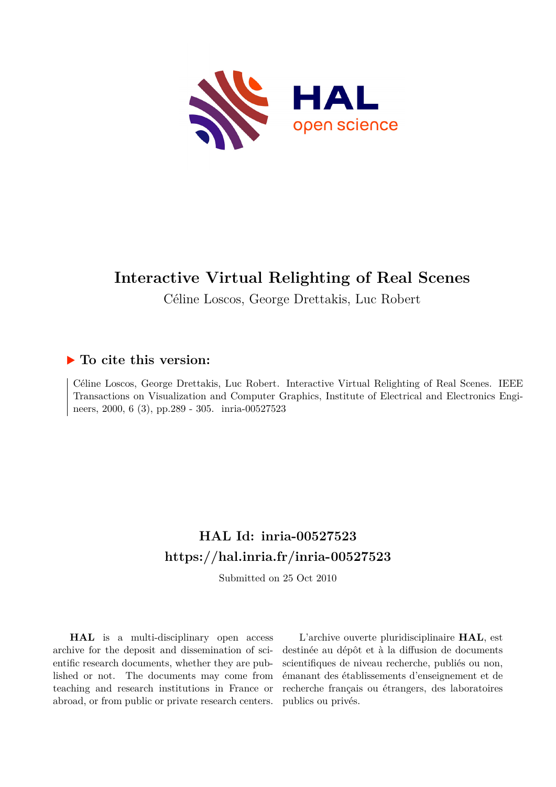

# **Interactive Virtual Relighting of Real Scenes**

Céline Loscos, George Drettakis, Luc Robert

# **To cite this version:**

Céline Loscos, George Drettakis, Luc Robert. Interactive Virtual Relighting of Real Scenes. IEEE Transactions on Visualization and Computer Graphics, Institute of Electrical and Electronics Engineers, 2000, 6 (3), pp.289 - 305. inria-00527523

# **HAL Id: inria-00527523 <https://hal.inria.fr/inria-00527523>**

Submitted on 25 Oct 2010

**HAL** is a multi-disciplinary open access archive for the deposit and dissemination of scientific research documents, whether they are published or not. The documents may come from teaching and research institutions in France or abroad, or from public or private research centers.

L'archive ouverte pluridisciplinaire **HAL**, est destinée au dépôt et à la diffusion de documents scientifiques de niveau recherche, publiés ou non, émanant des établissements d'enseignement et de recherche français ou étrangers, des laboratoires publics ou privés.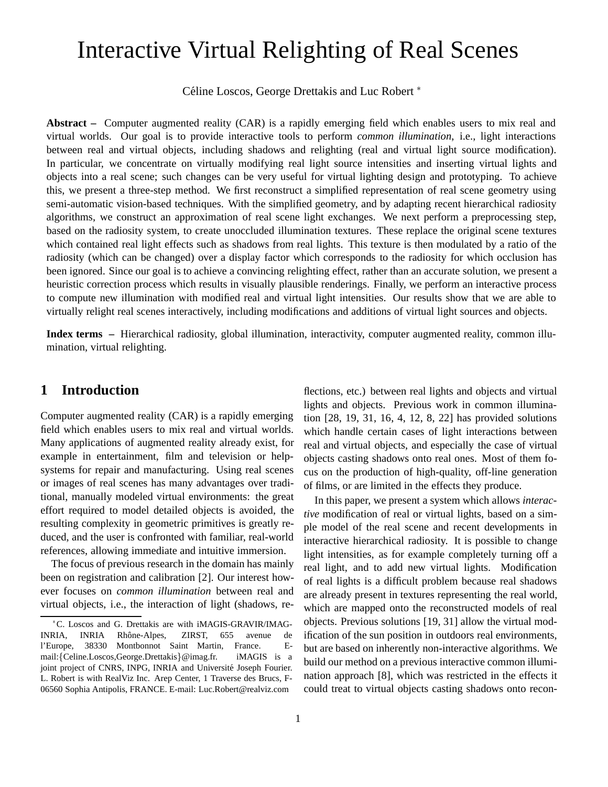# Interactive Virtual Relighting of Real Scenes

Céline Loscos, George Drettakis and Luc Robert\*

**Abstract –** Computer augmented reality (CAR) is a rapidly emerging field which enables users to mix real and virtual worlds. Our goal is to provide interactive tools to perform *common illumination*, i.e., light interactions between real and virtual objects, including shadows and relighting (real and virtual light source modification). In particular, we concentrate on virtually modifying real light source intensities and inserting virtual lights and objects into a real scene; such changes can be very useful for virtual lighting design and prototyping. To achieve this, we present a three-step method. We first reconstruct a simplified representation of real scene geometry using semi-automatic vision-based techniques. With the simplified geometry, and by adapting recent hierarchical radiosity algorithms, we construct an approximation of real scene light exchanges. We next perform a preprocessing step, based on the radiosity system, to create unoccluded illumination textures. These replace the original scene textures which contained real light effects such as shadows from real lights. This texture is then modulated by a ratio of the radiosity (which can be changed) over a display factor which corresponds to the radiosity for which occlusion has been ignored. Since our goal is to achieve a convincing relighting effect, rather than an accurate solution, we present a heuristic correction process which results in visually plausible renderings. Finally, we perform an interactive process to compute new illumination with modified real and virtual light intensities. Our results show that we are able to virtually relight real scenes interactively, including modifications and additions of virtual light sources and objects.

**Index terms –** Hierarchical radiosity, global illumination, interactivity, computer augmented reality, common illumination, virtual relighting.

# **1 Introduction**

Computer augmented reality (CAR) is a rapidly emerging field which enables users to mix real and virtual worlds. Many applications of augmented reality already exist, for example in entertainment, film and television or helpsystems for repair and manufacturing. Using real scenes or images of real scenes has many advantages over traditional, manually modeled virtual environments: the great effort required to model detailed objects is avoided, the resulting complexity in geometric primitives is greatly reduced, and the user is confronted with familiar, real-world references, allowing immediate and intuitive immersion.

The focus of previous research in the domain has mainly been on registration and calibration [2]. Our interest however focuses on *common illumination* between real and virtual objects, i.e., the interaction of light (shadows, reflections, etc.) between real lights and objects and virtual lights and objects. Previous work in common illumination [28, 19, 31, 16, 4, 12, 8, 22] has provided solutions which handle certain cases of light interactions between real and virtual objects, and especially the case of virtual objects casting shadows onto real ones. Most of them focus on the production of high-quality, off-line generation of films, or are limited in the effects they produce.

In this paper, we present a system which allows *interactive* modification of real or virtual lights, based on a simple model of the real scene and recent developments in interactive hierarchical radiosity. It is possible to change light intensities, as for example completely turning off a real light, and to add new virtual lights. Modification of real lights is a difficult problem because real shadows are already present in textures representing the real world, which are mapped onto the reconstructed models of real objects. Previous solutions [19, 31] allow the virtual modification of the sun position in outdoors real environments, but are based on inherently non-interactive algorithms. We build our method on a previous interactive common illumination approach [8], which was restricted in the effects it could treat to virtual objects casting shadows onto recon-

C. Loscos and G. Drettakis are with iMAGIS-GRAVIR/IMAG-INRIA, INRIA Rhˆone-Alpes, ZIRST, 655 avenue de l'Europe, 38330 Montbonnot Saint Martin, France. Email: {Celine.Loscos,George.Drettakis}@imag.fr. iMAGIS is a joint project of CNRS, INPG, INRIA and Université Joseph Fourier. L. Robert is with RealViz Inc. Arep Center, 1 Traverse des Brucs, F-06560 Sophia Antipolis, FRANCE. E-mail: Luc.Robert@realviz.com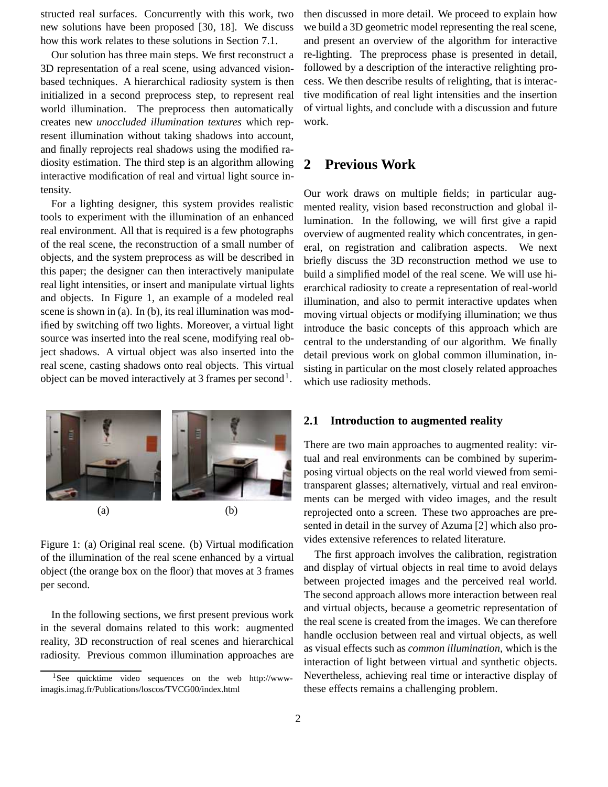structed real surfaces. Concurrently with this work, two new solutions have been proposed [30, 18]. We discuss how this work relates to these solutions in Section 7.1.

Our solution has three main steps. We first reconstruct a 3D representation of a real scene, using advanced visionbased techniques. A hierarchical radiosity system is then initialized in a second preprocess step, to represent real world illumination. The preprocess then automatically creates new *unoccluded illumination textures* which represent illumination without taking shadows into account, and finally reprojects real shadows using the modified radiosity estimation. The third step is an algorithm allowing interactive modification of real and virtual light source intensity.

For a lighting designer, this system provides realistic tools to experiment with the illumination of an enhanced real environment. All that is required is a few photographs of the real scene, the reconstruction of a small number of objects, and the system preprocess as will be described in this paper; the designer can then interactively manipulate real light intensities, or insert and manipulate virtual lights and objects. In Figure 1, an example of a modeled real scene is shown in (a). In (b), its real illumination was modified by switching off two lights. Moreover, a virtual light source was inserted into the real scene, modifying real object shadows. A virtual object was also inserted into the real scene, casting shadows onto real objects. This virtual object can be moved interactively at 3 frames per second<sup>1</sup>.



Figure 1: (a) Original real scene. (b) Virtual modification of the illumination of the real scene enhanced by a virtual object (the orange box on the floor) that moves at 3 frames per second.

In the following sections, we first present previous work in the several domains related to this work: augmented reality, 3D reconstruction of real scenes and hierarchical radiosity. Previous common illumination approaches are

then discussed in more detail. We proceed to explain how we build a 3D geometric model representing the real scene, and present an overview of the algorithm for interactive re-lighting. The preprocess phase is presented in detail, followed by a description of the interactive relighting process. We then describe results of relighting, that is interactive modification of real light intensities and the insertion of virtual lights, and conclude with a discussion and future work.

# **2 Previous Work**

Our work draws on multiple fields; in particular augmented reality, vision based reconstruction and global illumination. In the following, we will first give a rapid overview of augmented reality which concentrates, in general, on registration and calibration aspects. We next briefly discuss the 3D reconstruction method we use to build a simplified model of the real scene. We will use hierarchical radiosity to create a representation of real-world illumination, and also to permit interactive updates when moving virtual objects or modifying illumination; we thus introduce the basic concepts of this approach which are central to the understanding of our algorithm. We finally detail previous work on global common illumination, insisting in particular on the most closely related approaches which use radiosity methods.

#### **2.1 Introduction to augmented reality**

There are two main approaches to augmented reality: virtual and real environments can be combined by superimposing virtual objects on the real world viewed from semitransparent glasses; alternatively, virtual and real environments can be merged with video images, and the result reprojected onto a screen. These two approaches are presented in detail in the survey of Azuma [2] which also provides extensive references to related literature.

The first approach involves the calibration, registration and display of virtual objects in real time to avoid delays between projected images and the perceived real world. The second approach allows more interaction between real and virtual objects, because a geometric representation of the real scene is created from the images. We can therefore handle occlusion between real and virtual objects, as well as visual effects such as *common illumination*, which is the interaction of light between virtual and synthetic objects. Nevertheless, achieving real time or interactive display of these effects remains a challenging problem.

<sup>&</sup>lt;sup>1</sup>See quicktime video sequences on the web http://wwwimagis.imag.fr/Publications/loscos/TVCG00/index.html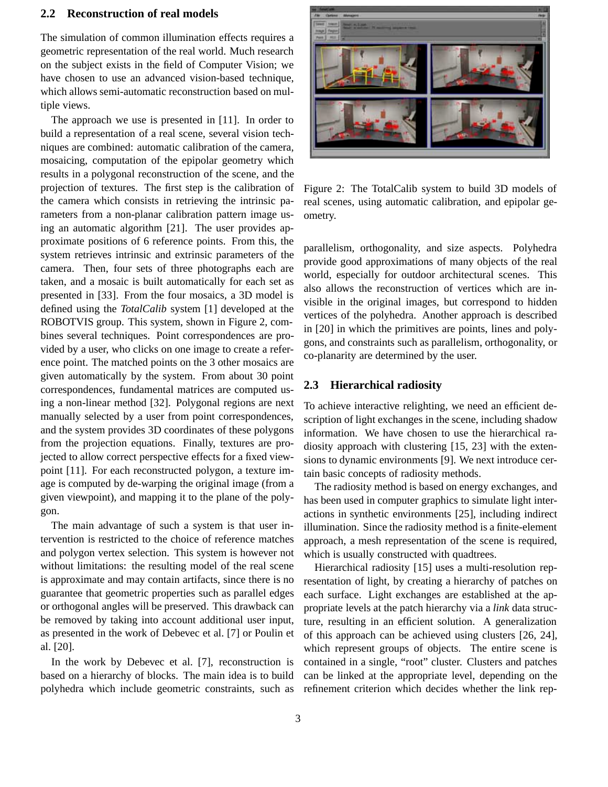#### **2.2 Reconstruction of real models**

The simulation of common illumination effects requires a geometric representation of the real world. Much research on the subject exists in the field of Computer Vision; we have chosen to use an advanced vision-based technique, which allows semi-automatic reconstruction based on multiple views.

The approach we use is presented in [11]. In order to build a representation of a real scene, several vision techniques are combined: automatic calibration of the camera, mosaicing, computation of the epipolar geometry which results in a polygonal reconstruction of the scene, and the projection of textures. The first step is the calibration of the camera which consists in retrieving the intrinsic parameters from a non-planar calibration pattern image using an automatic algorithm [21]. The user provides approximate positions of 6 reference points. From this, the system retrieves intrinsic and extrinsic parameters of the camera. Then, four sets of three photographs each are taken, and a mosaic is built automatically for each set as presented in [33]. From the four mosaics, a 3D model is defined using the *TotalCalib* system [1] developed at the ROBOTVIS group. This system, shown in Figure 2, combines several techniques. Point correspondences are provided by a user, who clicks on one image to create a reference point. The matched points on the 3 other mosaics are given automatically by the system. From about 30 point correspondences, fundamental matrices are computed using a non-linear method [32]. Polygonal regions are next manually selected by a user from point correspondences, and the system provides 3D coordinates of these polygons from the projection equations. Finally, textures are projected to allow correct perspective effects for a fixed viewpoint [11]. For each reconstructed polygon, a texture image is computed by de-warping the original image (from a given viewpoint), and mapping it to the plane of the polygon.

The main advantage of such a system is that user intervention is restricted to the choice of reference matches and polygon vertex selection. This system is however not without limitations: the resulting model of the real scene is approximate and may contain artifacts, since there is no guarantee that geometric properties such as parallel edges or orthogonal angles will be preserved. This drawback can be removed by taking into account additional user input, as presented in the work of Debevec et al. [7] or Poulin et al. [20].

In the work by Debevec et al. [7], reconstruction is based on a hierarchy of blocks. The main idea is to build polyhedra which include geometric constraints, such as



Figure 2: The TotalCalib system to build 3D models of real scenes, using automatic calibration, and epipolar geometry.

parallelism, orthogonality, and size aspects. Polyhedra provide good approximations of many objects of the real world, especially for outdoor architectural scenes. This also allows the reconstruction of vertices which are invisible in the original images, but correspond to hidden vertices of the polyhedra. Another approach is described in [20] in which the primitives are points, lines and polygons, and constraints such as parallelism, orthogonality, or co-planarity are determined by the user.

#### **2.3 Hierarchical radiosity**

To achieve interactive relighting, we need an efficient description of light exchanges in the scene, including shadow information. We have chosen to use the hierarchical radiosity approach with clustering [15, 23] with the extensions to dynamic environments [9]. We next introduce certain basic concepts of radiosity methods.

The radiosity method is based on energy exchanges, and has been used in computer graphics to simulate light interactions in synthetic environments [25], including indirect illumination. Since the radiosity method is a finite-element approach, a mesh representation of the scene is required, which is usually constructed with quadtrees.

Hierarchical radiosity [15] uses a multi-resolution representation of light, by creating a hierarchy of patches on each surface. Light exchanges are established at the appropriate levels at the patch hierarchy via a *link* data structure, resulting in an efficient solution. A generalization of this approach can be achieved using clusters [26, 24], which represent groups of objects. The entire scene is contained in a single, "root" cluster. Clusters and patches can be linked at the appropriate level, depending on the refinement criterion which decides whether the link rep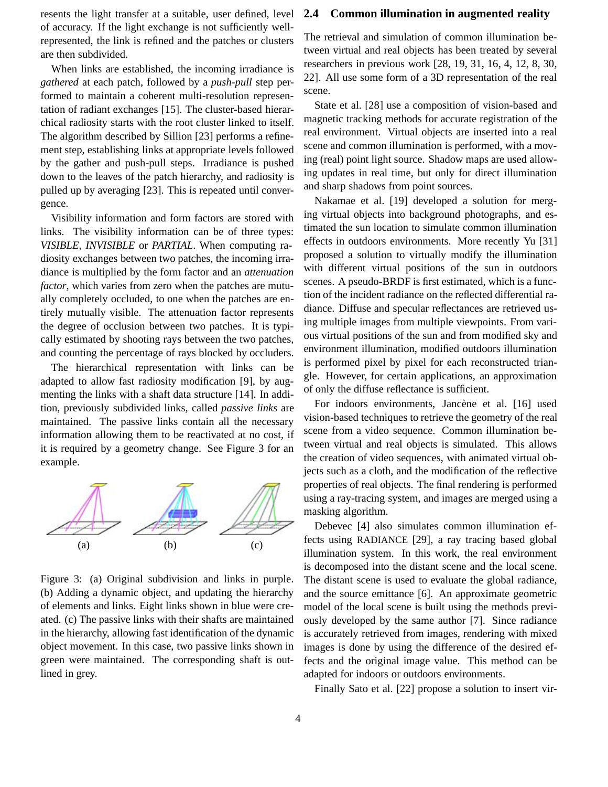of accuracy. If the light exchange is not sufficiently wellrepresented, the link is refined and the patches or clusters are then subdivided.

When links are established, the incoming irradiance is *gathered* at each patch, followed by a *push-pull* step performed to maintain a coherent multi-resolution representation of radiant exchanges [15]. The cluster-based hierarchical radiosity starts with the root cluster linked to itself. The algorithm described by Sillion [23] performs a refinement step, establishing links at appropriate levels followed by the gather and push-pull steps. Irradiance is pushed down to the leaves of the patch hierarchy, and radiosity is pulled up by averaging [23]. This is repeated until convergence.

Visibility information and form factors are stored with links. The visibility information can be of three types: *VISIBLE*, *INVISIBLE* or *PARTIAL*. When computing radiosity exchanges between two patches, the incoming irradiance is multiplied by the form factor and an *attenuation factor*, which varies from zero when the patches are mutually completely occluded, to one when the patches are entirely mutually visible. The attenuation factor represents the degree of occlusion between two patches. It is typically estimated by shooting rays between the two patches, and counting the percentage of rays blocked by occluders.

The hierarchical representation with links can be adapted to allow fast radiosity modification [9], by augmenting the links with a shaft data structure [14]. In addition, previously subdivided links, called *passive links* are maintained. The passive links contain all the necessary information allowing them to be reactivated at no cost, if it is required by a geometry change. See Figure 3 for an example.



Figure 3: (a) Original subdivision and links in purple. (b) Adding a dynamic object, and updating the hierarchy of elements and links. Eight links shown in blue were created. (c) The passive links with their shafts are maintained in the hierarchy, allowing fast identification of the dynamic object movement. In this case, two passive links shown in green were maintained. The corresponding shaft is outlined in grey.

#### resents the light transfer at a suitable, user defined, level **2.4 Common illumination in augmented reality**

The retrieval and simulation of common illumination between virtual and real objects has been treated by several researchers in previous work [28, 19, 31, 16, 4, 12, 8, 30, 22]. All use some form of a 3D representation of the real scene.

State et al. [28] use a composition of vision-based and magnetic tracking methods for accurate registration of the real environment. Virtual objects are inserted into a real scene and common illumination is performed, with a moving (real) point light source. Shadow maps are used allowing updates in real time, but only for direct illumination and sharp shadows from point sources.

Nakamae et al. [19] developed a solution for merging virtual objects into background photographs, and estimated the sun location to simulate common illumination effects in outdoors environments. More recently Yu [31] proposed a solution to virtually modify the illumination with different virtual positions of the sun in outdoors scenes. A pseudo-BRDF is first estimated, which is a function of the incident radiance on the reflected differential radiance. Diffuse and specular reflectances are retrieved using multiple images from multiple viewpoints. From various virtual positions of the sun and from modified sky and environment illumination, modified outdoors illumination is performed pixel by pixel for each reconstructed triangle. However, for certain applications, an approximation of only the diffuse reflectance is sufficient.

For indoors environments, Jancène et al. [16] used vision-based techniques to retrieve the geometry of the real scene from a video sequence. Common illumination between virtual and real objects is simulated. This allows the creation of video sequences, with animated virtual objects such as a cloth, and the modification of the reflective properties of real objects. The final rendering is performed using a ray-tracing system, and images are merged using a masking algorithm.

Debevec [4] also simulates common illumination effects using RADIANCE [29], a ray tracing based global illumination system. In this work, the real environment is decomposed into the distant scene and the local scene. The distant scene is used to evaluate the global radiance, and the source emittance [6]. An approximate geometric model of the local scene is built using the methods previously developed by the same author [7]. Since radiance is accurately retrieved from images, rendering with mixed images is done by using the difference of the desired effects and the original image value. This method can be adapted for indoors or outdoors environments.

Finally Sato et al. [22] propose a solution to insert vir-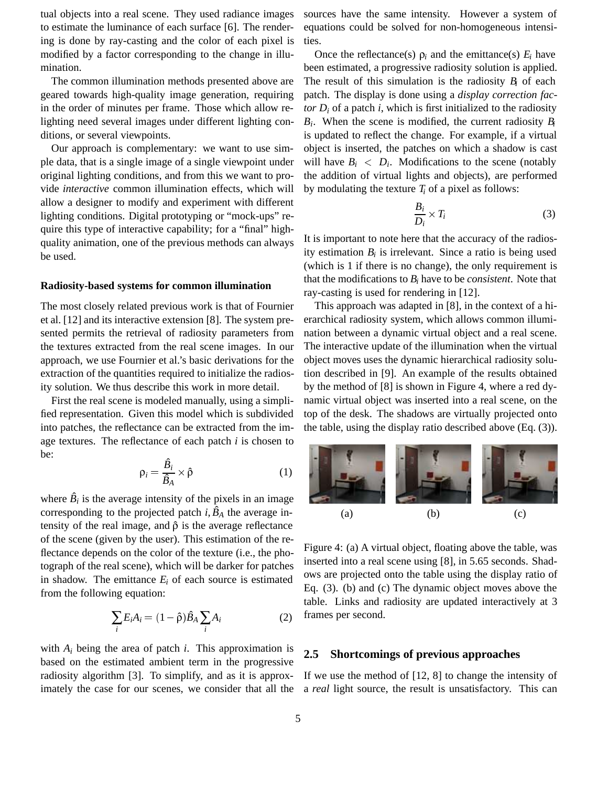tual objects into a real scene. They used radiance images to estimate the luminance of each surface [6]. The rendering is done by ray-casting and the color of each pixel is modified by a factor corresponding to the change in illumination.

The common illumination methods presented above are geared towards high-quality image generation, requiring in the order of minutes per frame. Those which allow relighting need several images under different lighting conditions, or several viewpoints.

Our approach is complementary: we want to use simple data, that is a single image of a single viewpoint under original lighting conditions, and from this we want to provide *interactive* common illumination effects, which will allow a designer to modify and experiment with different lighting conditions. Digital prototyping or "mock-ups" require this type of interactive capability; for a "final" highquality animation, one of the previous methods can always be used.

#### **Radiosity-based systems for common illumination**

The most closely related previous work is that of Fournier et al. [12] and its interactive extension [8]. The system presented permits the retrieval of radiosity parameters from the textures extracted from the real scene images. In our approach, we use Fournier et al.'s basic derivations for the extraction of the quantities required to initialize the radiosity solution. We thus describe this work in more detail.

First the real scene is modeled manually, using a simplified representation. Given this model which is subdivided into patches, the reflectance can be extracted from the image textures. The reflectance of each patch *i* is chosen to be:

$$
\rho_i = \frac{\hat{B}_i}{\hat{B}_A} \times \hat{\rho}
$$
 (1)

where  $\hat{B}_i$  is the average intensity of the pixels in an image corresponding to the projected patch  $i$ ,  $\hat{B}_A$  the average intensity of the real image, and  $\hat{\rho}$  is the average reflectance of the scene (given by the user). This estimation of the reflectance depends on the color of the texture (i.e., the photograph of the real scene), which will be darker for patches in shadow. The emittance  $E_i$  of each source is estimated from the following equation:

$$
\sum_{i} E_i A_i = (1 - \hat{\rho}) \hat{B}_A \sum_{i} A_i \tag{2}
$$

with  $A_i$  being the area of patch *i*. This approximation is based on the estimated ambient term in the progressive radiosity algorithm [3]. To simplify, and as it is approximately the case for our scenes, we consider that all the sources have the same intensity. However a system of equations could be solved for non-homogeneous intensities.

Once the reflectance(s)  $ρ<sub>i</sub>$  and the emittance(s)  $E<sub>i</sub>$  have been estimated, a progressive radiosity solution is applied. The result of this simulation is the radiosity  $B_i$  of each patch. The display is done using a *display correction factor*  $D_i$  of a patch *i*, which is first initialized to the radiosity *Bi*. When the scene is modified, the current radiosity *Bi* is updated to reflect the change. For example, if a virtual object is inserted, the patches on which a shadow is cast will have  $B_i \leq D_i$ . Modifications to the scene (notably the addition of virtual lights and objects), are performed by modulating the texture  $T_i$  of a pixel as follows:

$$
\frac{B_i}{D_i} \times T_i \tag{3}
$$

It is important to note here that the accuracy of the radiosity estimation  $B_i$  is irrelevant. Since a ratio is being used (which is 1 if there is no change), the only requirement is that the modifications to *Bi* have to be *consistent*. Note that ray-casting is used for rendering in [12].

This approach was adapted in [8], in the context of a hierarchical radiosity system, which allows common illumination between a dynamic virtual object and a real scene. The interactive update of the illumination when the virtual object moves uses the dynamic hierarchical radiosity solution described in [9]. An example of the results obtained by the method of [8] is shown in Figure 4, where a red dynamic virtual object was inserted into a real scene, on the top of the desk. The shadows are virtually projected onto the table, using the display ratio described above (Eq. (3)).



Figure 4: (a) A virtual object, floating above the table, was inserted into a real scene using [8], in 5.65 seconds. Shadows are projected onto the table using the display ratio of Eq. (3). (b) and (c) The dynamic object moves above the table. Links and radiosity are updated interactively at 3 frames per second.

#### **2.5 Shortcomings of previous approaches**

If we use the method of [12, 8] to change the intensity of a *real* light source, the result is unsatisfactory. This can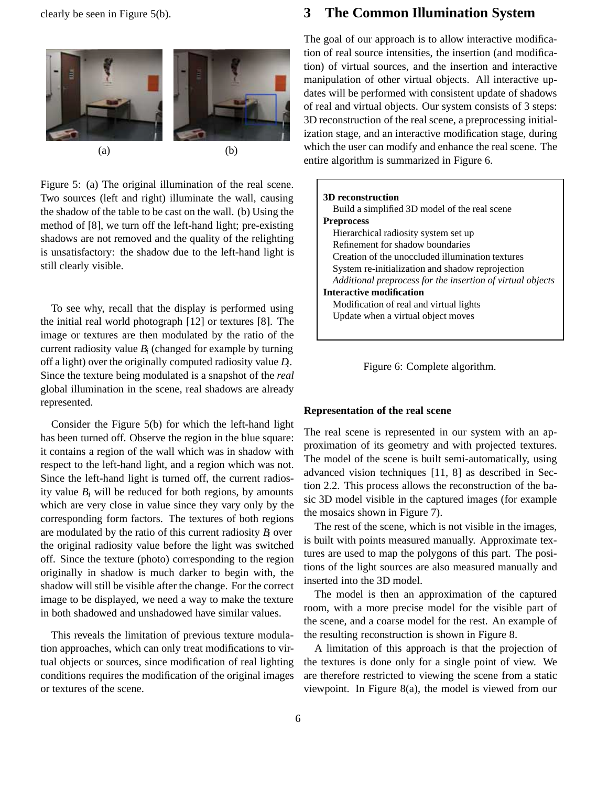clearly be seen in Figure 5(b).



Figure 5: (a) The original illumination of the real scene. Two sources (left and right) illuminate the wall, causing the shadow of the table to be cast on the wall. (b) Using the method of [8], we turn off the left-hand light; pre-existing shadows are not removed and the quality of the relighting is unsatisfactory: the shadow due to the left-hand light is still clearly visible.

To see why, recall that the display is performed using the initial real world photograph [12] or textures [8]. The image or textures are then modulated by the ratio of the current radiosity value *Bi* (changed for example by turning off a light) over the originally computed radiosity value *Di*. Since the texture being modulated is a snapshot of the *real* global illumination in the scene, real shadows are already represented.

Consider the Figure 5(b) for which the left-hand light has been turned off. Observe the region in the blue square: it contains a region of the wall which was in shadow with respect to the left-hand light, and a region which was not. Since the left-hand light is turned off, the current radiosity value  $B_i$  will be reduced for both regions, by amounts which are very close in value since they vary only by the corresponding form factors. The textures of both regions are modulated by the ratio of this current radiosity *Bi* over the original radiosity value before the light was switched off. Since the texture (photo) corresponding to the region originally in shadow is much darker to begin with, the shadow will still be visible after the change. For the correct image to be displayed, we need a way to make the texture in both shadowed and unshadowed have similar values.

This reveals the limitation of previous texture modulation approaches, which can only treat modifications to virtual objects or sources, since modification of real lighting conditions requires the modification of the original images or textures of the scene.

# **3 The Common Illumination System**

The goal of our approach is to allow interactive modification of real source intensities, the insertion (and modification) of virtual sources, and the insertion and interactive manipulation of other virtual objects. All interactive updates will be performed with consistent update of shadows of real and virtual objects. Our system consists of 3 steps: 3D reconstruction of the real scene, a preprocessing initialization stage, and an interactive modification stage, during which the user can modify and enhance the real scene. The entire algorithm is summarized in Figure 6.

| Build a simplified 3D model of the real scene              |  |
|------------------------------------------------------------|--|
| <b>Preprocess</b>                                          |  |
| Hierarchical radiosity system set up                       |  |
| Refinement for shadow boundaries                           |  |
| Creation of the unoccluded illumination textures           |  |
| System re-initialization and shadow reprojection           |  |
| Additional preprocess for the insertion of virtual objects |  |
| Interactive modification                                   |  |
| Modification of real and virtual lights                    |  |
| Update when a virtual object moves                         |  |

Figure 6: Complete algorithm.

#### **Representation of the real scene**

The real scene is represented in our system with an approximation of its geometry and with projected textures. The model of the scene is built semi-automatically, using advanced vision techniques [11, 8] as described in Section 2.2. This process allows the reconstruction of the basic 3D model visible in the captured images (for example the mosaics shown in Figure 7).

The rest of the scene, which is not visible in the images, is built with points measured manually. Approximate textures are used to map the polygons of this part. The positions of the light sources are also measured manually and inserted into the 3D model.

The model is then an approximation of the captured room, with a more precise model for the visible part of the scene, and a coarse model for the rest. An example of the resulting reconstruction is shown in Figure 8.

A limitation of this approach is that the projection of the textures is done only for a single point of view. We are therefore restricted to viewing the scene from a static viewpoint. In Figure 8(a), the model is viewed from our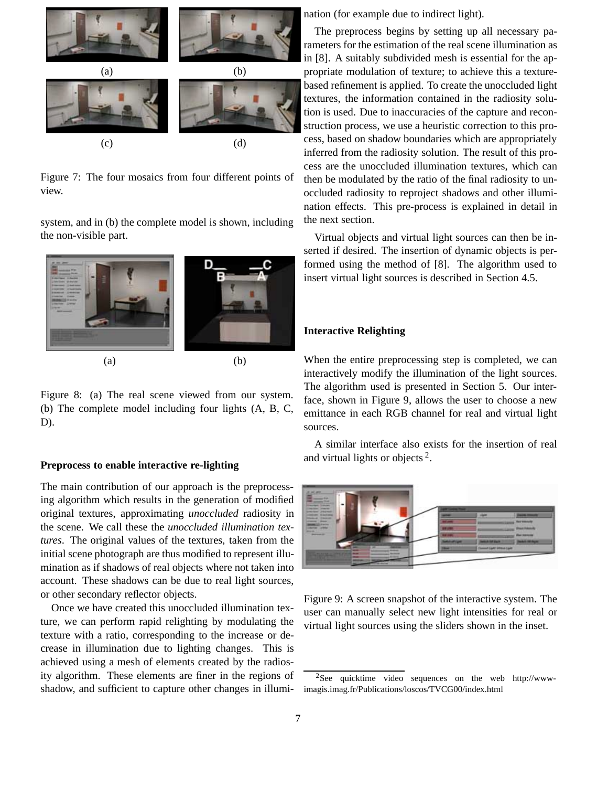

Figure 7: The four mosaics from four different points of view.

system, and in (b) the complete model is shown, including the non-visible part.



Figure 8: (a) The real scene viewed from our system. (b) The complete model including four lights (A, B, C, D).

#### **Preprocess to enable interactive re-lighting**

The main contribution of our approach is the preprocessing algorithm which results in the generation of modified original textures, approximating *unoccluded* radiosity in the scene. We call these the *unoccluded illumination textures*. The original values of the textures, taken from the initial scene photograph are thus modified to represent illumination as if shadows of real objects where not taken into account. These shadows can be due to real light sources, or other secondary reflector objects.

Once we have created this unoccluded illumination texture, we can perform rapid relighting by modulating the texture with a ratio, corresponding to the increase or decrease in illumination due to lighting changes. This is achieved using a mesh of elements created by the radiosity algorithm. These elements are finer in the regions of shadow, and sufficient to capture other changes in illumination (for example due to indirect light).

The preprocess begins by setting up all necessary parameters for the estimation of the real scene illumination as in [8]. A suitably subdivided mesh is essential for the appropriate modulation of texture; to achieve this a texturebased refinement is applied. To create the unoccluded light textures, the information contained in the radiosity solution is used. Due to inaccuracies of the capture and reconstruction process, we use a heuristic correction to this process, based on shadow boundaries which are appropriately inferred from the radiosity solution. The result of this process are the unoccluded illumination textures, which can then be modulated by the ratio of the final radiosity to unoccluded radiosity to reproject shadows and other illumination effects. This pre-process is explained in detail in the next section.

Virtual objects and virtual light sources can then be inserted if desired. The insertion of dynamic objects is performed using the method of [8]. The algorithm used to insert virtual light sources is described in Section 4.5.

#### **Interactive Relighting**

When the entire preprocessing step is completed, we can interactively modify the illumination of the light sources. The algorithm used is presented in Section 5. Our interface, shown in Figure 9, allows the user to choose a new emittance in each RGB channel for real and virtual light sources.

A similar interface also exists for the insertion of real and virtual lights or objects 2.



Figure 9: A screen snapshot of the interactive system. The user can manually select new light intensities for real or virtual light sources using the sliders shown in the inset.

 $2$ See quicktime video sequences on the web http://wwwimagis.imag.fr/Publications/loscos/TVCG00/index.html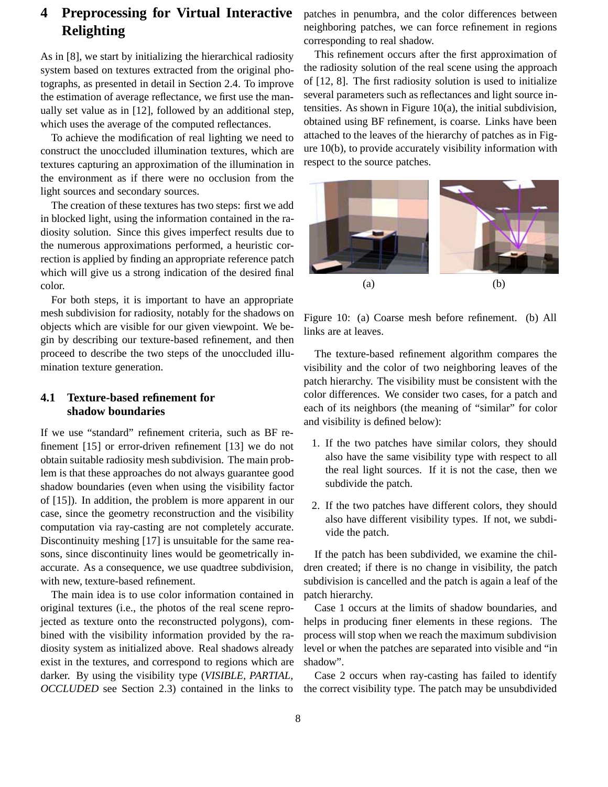# **4 Preprocessing for Virtual Interactive Relighting**

As in [8], we start by initializing the hierarchical radiosity system based on textures extracted from the original photographs, as presented in detail in Section 2.4. To improve the estimation of average reflectance, we first use the manually set value as in [12], followed by an additional step, which uses the average of the computed reflectances.

To achieve the modification of real lighting we need to construct the unoccluded illumination textures, which are textures capturing an approximation of the illumination in the environment as if there were no occlusion from the light sources and secondary sources.

The creation of these textures has two steps: first we add in blocked light, using the information contained in the radiosity solution. Since this gives imperfect results due to the numerous approximations performed, a heuristic correction is applied by finding an appropriate reference patch which will give us a strong indication of the desired final color.

For both steps, it is important to have an appropriate mesh subdivision for radiosity, notably for the shadows on objects which are visible for our given viewpoint. We begin by describing our texture-based refinement, and then proceed to describe the two steps of the unoccluded illumination texture generation.

#### **4.1 Texture-based refinement for shadow boundaries**

If we use "standard" refinement criteria, such as BF refinement [15] or error-driven refinement [13] we do not obtain suitable radiosity mesh subdivision. The main problem is that these approaches do not always guarantee good shadow boundaries (even when using the visibility factor of [15]). In addition, the problem is more apparent in our case, since the geometry reconstruction and the visibility computation via ray-casting are not completely accurate. Discontinuity meshing [17] is unsuitable for the same reasons, since discontinuity lines would be geometrically inaccurate. As a consequence, we use quadtree subdivision, with new, texture-based refinement.

The main idea is to use color information contained in original textures (i.e., the photos of the real scene reprojected as texture onto the reconstructed polygons), combined with the visibility information provided by the radiosity system as initialized above. Real shadows already exist in the textures, and correspond to regions which are darker. By using the visibility type (*VISIBLE, PARTIAL, OCCLUDED* see Section 2.3) contained in the links to patches in penumbra, and the color differences between neighboring patches, we can force refinement in regions corresponding to real shadow.

This refinement occurs after the first approximation of the radiosity solution of the real scene using the approach of [12, 8]. The first radiosity solution is used to initialize several parameters such as reflectances and light source intensities. As shown in Figure 10(a), the initial subdivision, obtained using BF refinement, is coarse. Links have been attached to the leaves of the hierarchy of patches as in Figure 10(b), to provide accurately visibility information with respect to the source patches.



Figure 10: (a) Coarse mesh before refinement. (b) All links are at leaves.

The texture-based refinement algorithm compares the visibility and the color of two neighboring leaves of the patch hierarchy. The visibility must be consistent with the color differences. We consider two cases, for a patch and each of its neighbors (the meaning of "similar" for color and visibility is defined below):

- 1. If the two patches have similar colors, they should also have the same visibility type with respect to all the real light sources. If it is not the case, then we subdivide the patch.
- 2. If the two patches have different colors, they should also have different visibility types. If not, we subdivide the patch.

If the patch has been subdivided, we examine the children created; if there is no change in visibility, the patch subdivision is cancelled and the patch is again a leaf of the patch hierarchy.

Case 1 occurs at the limits of shadow boundaries, and helps in producing finer elements in these regions. The process will stop when we reach the maximum subdivision level or when the patches are separated into visible and "in shadow".

Case 2 occurs when ray-casting has failed to identify the correct visibility type. The patch may be unsubdivided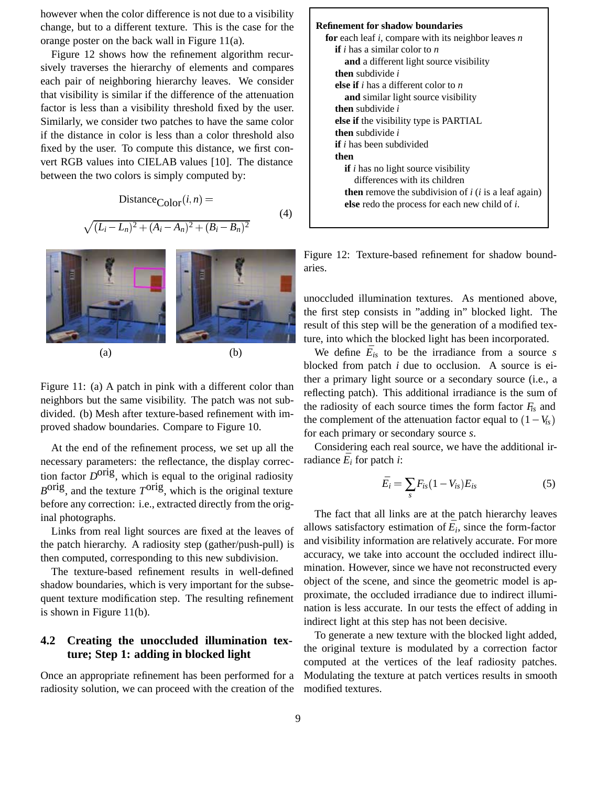however when the color difference is not due to a visibility change, but to a different texture. This is the case for the orange poster on the back wall in Figure 11(a).

Figure 12 shows how the refinement algorithm recursively traverses the hierarchy of elements and compares each pair of neighboring hierarchy leaves. We consider that visibility is similar if the difference of the attenuation factor is less than a visibility threshold fixed by the user. Similarly, we consider two patches to have the same color if the distance in color is less than a color threshold also fixed by the user. To compute this distance, we first convert RGB values into CIELAB values [10]. The distance between the two colors is simply computed by:

$$
\begin{aligned} \text{Distance}_{\text{Color}}(i, n) &= \\ \sqrt{(L_i - L_n)^2 + (A_i - A_n)^2 + (B_i - B_n)^2} \end{aligned} \tag{4}
$$



Figure 11: (a) A patch in pink with a different color than neighbors but the same visibility. The patch was not subdivided. (b) Mesh after texture-based refinement with improved shadow boundaries. Compare to Figure 10.

At the end of the refinement process, we set up all the necessary parameters: the reflectance, the display correction factor *D*orig, which is equal to the original radiosity  $B^{orig}$ , and the texture  $T^{orig}$ , which is the original texture before any correction: i.e., extracted directly from the original photographs.

Links from real light sources are fixed at the leaves of the patch hierarchy. A radiosity step (gather/push-pull) is then computed, corresponding to this new subdivision.

The texture-based refinement results in well-defined shadow boundaries, which is very important for the subsequent texture modification step. The resulting refinement is shown in Figure 11(b).

#### **4.2 Creating the unoccluded illumination texture; Step 1: adding in blocked light**

Once an appropriate refinement has been performed for a radiosity solution, we can proceed with the creation of the

| <b>Refinement for shadow boundaries</b>                          |
|------------------------------------------------------------------|
| for each leaf i, compare with its neighbor leaves $n$            |
| <b>if</b> i has a similar color to $n$                           |
| and a different light source visibility                          |
| <b>then</b> subdivide <i>i</i>                                   |
| <b>else if</b> <i>i</i> has a different color to <i>n</i>        |
| and similar light source visibility                              |
| <b>then</b> subdivide <i>i</i>                                   |
| <b>else if</b> the visibility type is PARTIAL                    |
| <b>then</b> subdivide $i$                                        |
| <b>if</b> <i>i</i> has been subdivided                           |
| then                                                             |
| <b>if</b> i has no light source visibility                       |
| differences with its children                                    |
| <b>then</b> remove the subdivision of $i$ ( $i$ is a leaf again) |
| <b>else</b> redo the process for each new child of $i$ .         |
|                                                                  |

Figure 12: Texture-based refinement for shadow boundaries.

unoccluded illumination textures. As mentioned above, the first step consists in "adding in" blocked light. The result of this step will be the generation of a modified texture, into which the blocked light has been incorporated.

We define  $\bar{E}_{is}$  to be the irradiance from a source *s* blocked from patch *i* due to occlusion. A source is either a primary light source or a secondary source (i.e., a reflecting patch). This additional irradiance is the sum of the radiosity of each source times the form factor  $F_{is}$  and the complement of the attenuation factor equal to  $(1 - V_{is})$ for each primary or secondary source *s*.

Considering each real source, we have the additional irradiance  $\bar{E}_i$  for patch *i*:

$$
\bar{E}_i = \sum_s F_{is} (1 - V_{is}) E_{is} \tag{5}
$$

The fact that all links are at the patch hierarchy leaves allows satisfactory estimation of  $\bar{E}_i$ , since the form-factor and visibility information are relatively accurate. For more accuracy, we take into account the occluded indirect illumination. However, since we have not reconstructed every object of the scene, and since the geometric model is approximate, the occluded irradiance due to indirect illumination is less accurate. In our tests the effect of adding in indirect light at this step has not been decisive.

To generate a new texture with the blocked light added, the original texture is modulated by a correction factor computed at the vertices of the leaf radiosity patches. Modulating the texture at patch vertices results in smooth modified textures.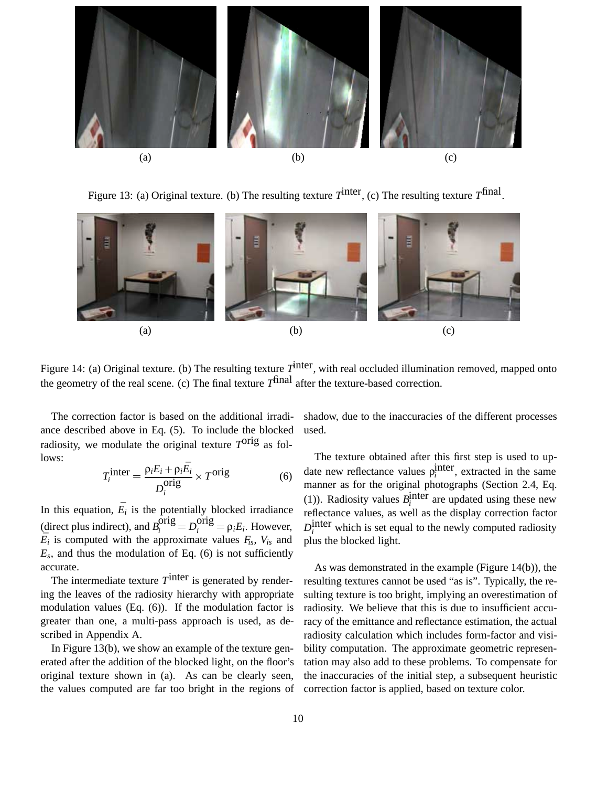

Figure 13: (a) Original texture. (b) The resulting texture  $T^{\text{inter}}$ , (c) The resulting texture  $T^{\text{final}}$ .



Figure 14: (a) Original texture. (b) The resulting texture *T*inter, with real occluded illumination removed, mapped onto the geometry of the real scene. (c) The final texture *T*final after the texture-based correction.

The correction factor is based on the additional irradiance described above in Eq. (5). To include the blocked radiosity, we modulate the original texture *T*orig as follows:

$$
T_i^{\text{inter}} = \frac{\rho_i E_i + \rho_i \bar{E}_i}{D_i^{\text{orig}}} \times T^{\text{orig}} \tag{6}
$$

In this equation,  $\bar{E}_i$  is the potentially blocked irradiance (direct plus indirect), and  $B_i^{\text{orig}} = D_i^{\text{orig}} = \rho_i E_i$ . However,  $\bar{E}_i$  is computed with the approximate values  $F_{is}$ ,  $V_{is}$  and  $E_s$ , and thus the modulation of Eq. (6) is not sufficiently accurate.

The intermediate texture *T*<sup>inter</sup> is generated by rendering the leaves of the radiosity hierarchy with appropriate modulation values (Eq. (6)). If the modulation factor is greater than one, a multi-pass approach is used, as described in Appendix A.

In Figure 13(b), we show an example of the texture generated after the addition of the blocked light, on the floor's original texture shown in (a). As can be clearly seen, the values computed are far too bright in the regions of

shadow, due to the inaccuracies of the different processes used.

The texture obtained after this first step is used to update new reflectance values  $\rho_i^{\text{inter}}$ , extracted in the same manner as for the original photographs (Section 2.4, Eq. (1)). Radiosity values  $B_i^{\text{inter}}$  are updated using these new reflectance values, as well as the display correction factor  $D_i^{\text{inter}}$  which is set equal to the newly computed radiosity plus the blocked light.

As was demonstrated in the example (Figure 14(b)), the resulting textures cannot be used "as is". Typically, the resulting texture is too bright, implying an overestimation of radiosity. We believe that this is due to insufficient accuracy of the emittance and reflectance estimation, the actual radiosity calculation which includes form-factor and visibility computation. The approximate geometric representation may also add to these problems. To compensate for the inaccuracies of the initial step, a subsequent heuristic correction factor is applied, based on texture color.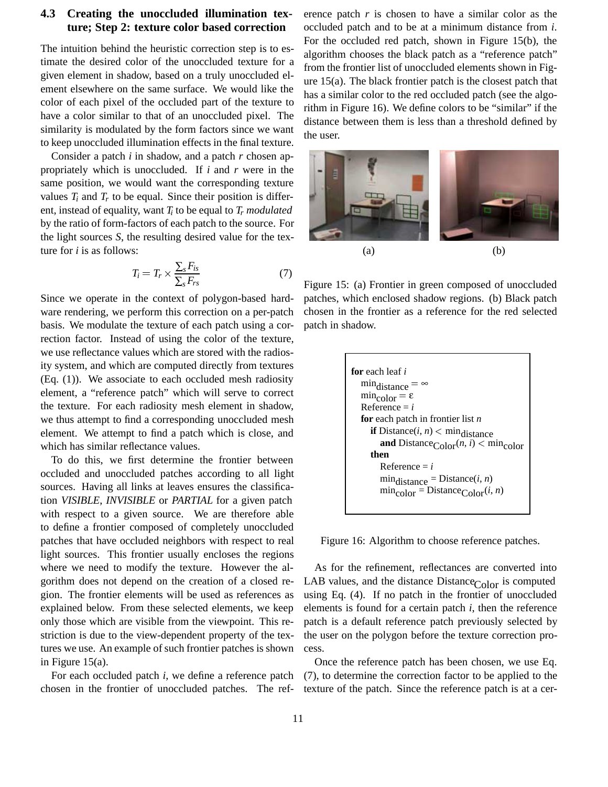#### **4.3 Creating the unoccluded illumination texture; Step 2: texture color based correction**

The intuition behind the heuristic correction step is to estimate the desired color of the unoccluded texture for a given element in shadow, based on a truly unoccluded element elsewhere on the same surface. We would like the color of each pixel of the occluded part of the texture to have a color similar to that of an unoccluded pixel. The similarity is modulated by the form factors since we want to keep unoccluded illumination effects in the final texture.

Consider a patch *i* in shadow, and a patch *r* chosen appropriately which is unoccluded. If *i* and *r* were in the same position, we would want the corresponding texture values  $T_i$  and  $T_r$  to be equal. Since their position is different, instead of equality, want *Ti* to be equal to *Tr modulated* by the ratio of form-factors of each patch to the source. For the light sources *S*, the resulting desired value for the texture for *i* is as follows:

$$
T_i = T_r \times \frac{\sum_s F_{is}}{\sum_s F_{rs}}\tag{7}
$$

Since we operate in the context of polygon-based hardware rendering, we perform this correction on a per-patch basis. We modulate the texture of each patch using a correction factor. Instead of using the color of the texture, we use reflectance values which are stored with the radiosity system, and which are computed directly from textures (Eq. (1)). We associate to each occluded mesh radiosity element, a "reference patch" which will serve to correct the texture. For each radiosity mesh element in shadow, we thus attempt to find a corresponding unoccluded mesh element. We attempt to find a patch which is close, and which has similar reflectance values.

To do this, we first determine the frontier between occluded and unoccluded patches according to all light sources. Having all links at leaves ensures the classification *VISIBLE*, *INVISIBLE* or *PARTIAL* for a given patch with respect to a given source. We are therefore able to define a frontier composed of completely unoccluded patches that have occluded neighbors with respect to real light sources. This frontier usually encloses the regions where we need to modify the texture. However the algorithm does not depend on the creation of a closed region. The frontier elements will be used as references as explained below. From these selected elements, we keep only those which are visible from the viewpoint. This restriction is due to the view-dependent property of the textures we use. An example of such frontier patches is shown in Figure 15(a).

For each occluded patch *i*, we define a reference patch chosen in the frontier of unoccluded patches. The ref-

erence patch *r* is chosen to have a similar color as the occluded patch and to be at a minimum distance from *i*. For the occluded red patch, shown in Figure 15(b), the algorithm chooses the black patch as a "reference patch" from the frontier list of unoccluded elements shown in Figure 15(a). The black frontier patch is the closest patch that has a similar color to the red occluded patch (see the algorithm in Figure 16). We define colors to be "similar" if the distance between them is less than a threshold defined by the user.



Figure 15: (a) Frontier in green composed of unoccluded patches, which enclosed shadow regions. (b) Black patch chosen in the frontier as a reference for the red selected patch in shadow.

| for each leaf <i>i</i>                                              |
|---------------------------------------------------------------------|
| $m n_{distance} = \infty$                                           |
| $\min_{\text{color}} = \varepsilon$                                 |
| Reference $=$ i                                                     |
| for each patch in frontier list $n$                                 |
| <b>if</b> Distance( <i>i</i> , <i>n</i> ) < min <sub>distance</sub> |
| and Distance $C_{\text{olor}}(n, i) < \text{min}_{\text{color}}$    |
| then                                                                |
| Reference $=$ i                                                     |
| $min_{distance} = Distance(i, n)$                                   |
| $\text{min}_{\text{color}} = \text{Distance}_{\text{Color}}(i, n)$  |
|                                                                     |

Figure 16: Algorithm to choose reference patches.

As for the refinement, reflectances are converted into LAB values, and the distance Distance $_{\rm Color}$  is computed using Eq. (4). If no patch in the frontier of unoccluded elements is found for a certain patch *i*, then the reference patch is a default reference patch previously selected by the user on the polygon before the texture correction process.

Once the reference patch has been chosen, we use Eq. (7), to determine the correction factor to be applied to the texture of the patch. Since the reference patch is at a cer-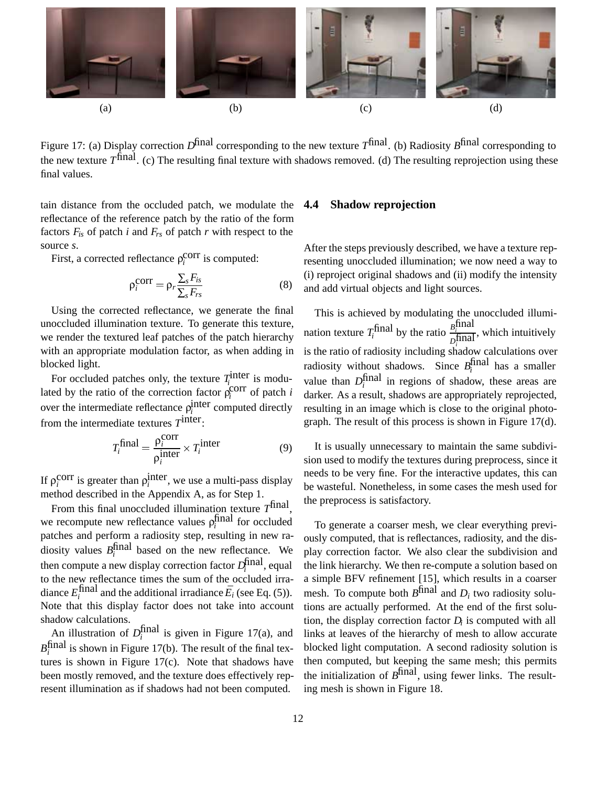

Figure 17: (a) Display correction  $D^{\text{final}}$  corresponding to the new texture  $T^{\text{final}}$ . (b) Radiosity  $B^{\text{final}}$  corresponding to the new texture  $T^{\text{final}}$ . (c) The resulting final texture with shadows removed. (d) The resulting reprojection using these final values.

tain distance from the occluded patch, we modulate the reflectance of the reference patch by the ratio of the form factors  $F_{is}$  of patch  $i$  and  $F_{rs}$  of patch  $r$  with respect to the source *s*.

First, a corrected reflectance  $\rho_i^{\text{corr}}$  is computed:

$$
\rho_i^{\text{corr}} = \rho_r \frac{\sum_s F_{is}}{\sum_s F_{rs}} \tag{8}
$$

Using the corrected reflectance, we generate the final unoccluded illumination texture. To generate this texture, we render the textured leaf patches of the patch hierarchy with an appropriate modulation factor, as when adding in blocked light.

For occluded patches only, the texture  $T_i^{\text{inter}}$  is modulated by the ratio of the correction factor  $\rho_i^{\text{corr}}$  of patch *i* over the intermediate reflectance ρinter *<sup>i</sup>* computed directly from the intermediate textures *T*inter:

$$
T_i^{\text{final}} = \frac{\rho_i^{\text{corr}}}{\rho_i^{\text{inter}}} \times T_i^{\text{inter}}
$$
 (9)

If  $\rho_i^{\text{corr}}$  is greater than  $\rho_i^{\text{inter}}$ , we use a multi-pass display method described in the Appendix A, as for Step 1.

From this final unoccluded illumination texture *T*final, we recompute new reflectance values  $\rho_i^{\text{final}}$  for occluded patches and perform a radiosity step, resulting in new radiosity values  $B_i^{\text{final}}$  based on the new reflectance. We then compute a new display correction factor  $D_i^{\text{final}}$ , equal to the new reflectance times the sum of the occluded irradiance  $E_i^{\text{final}}$  and the additional irradiance  $\bar{E}_i$  (see Eq. (5)). Note that this display factor does not take into account shadow calculations.

An illustration of  $D_i^{\text{final}}$  is given in Figure 17(a), and  $B_i^{\text{final}}$  is shown in Figure 17(b). The result of the final textures is shown in Figure 17(c). Note that shadows have been mostly removed, and the texture does effectively represent illumination as if shadows had not been computed.

#### **4.4 Shadow reprojection**

After the steps previously described, we have a texture representing unoccluded illumination; we now need a way to (i) reproject original shadows and (ii) modify the intensity and add virtual objects and light sources.

This is achieved by modulating the unoccluded illumination texture  $T_i^{\text{final}}$  by the ratio  $\frac{B_i^{\text{final}}}{D_i^{\text{final}}}$ , which intuitively is the ratio of radiosity including shadow calculations over radiosity without shadows. Since  $B_i^{\text{final}}$  has a smaller value than  $D_i^{\text{final}}$  in regions of shadow, these areas are darker. As a result, shadows are appropriately reprojected, resulting in an image which is close to the original photograph. The result of this process is shown in Figure 17(d).

It is usually unnecessary to maintain the same subdivision used to modify the textures during preprocess, since it needs to be very fine. For the interactive updates, this can be wasteful. Nonetheless, in some cases the mesh used for the preprocess is satisfactory.

To generate a coarser mesh, we clear everything previously computed, that is reflectances, radiosity, and the display correction factor. We also clear the subdivision and the link hierarchy. We then re-compute a solution based on a simple BFV refinement [15], which results in a coarser mesh. To compute both  $B^{\text{final}}$  and  $D_i$  two radiosity solutions are actually performed. At the end of the first solution, the display correction factor *Di* is computed with all links at leaves of the hierarchy of mesh to allow accurate blocked light computation. A second radiosity solution is then computed, but keeping the same mesh; this permits the initialization of *B*final, using fewer links. The resulting mesh is shown in Figure 18.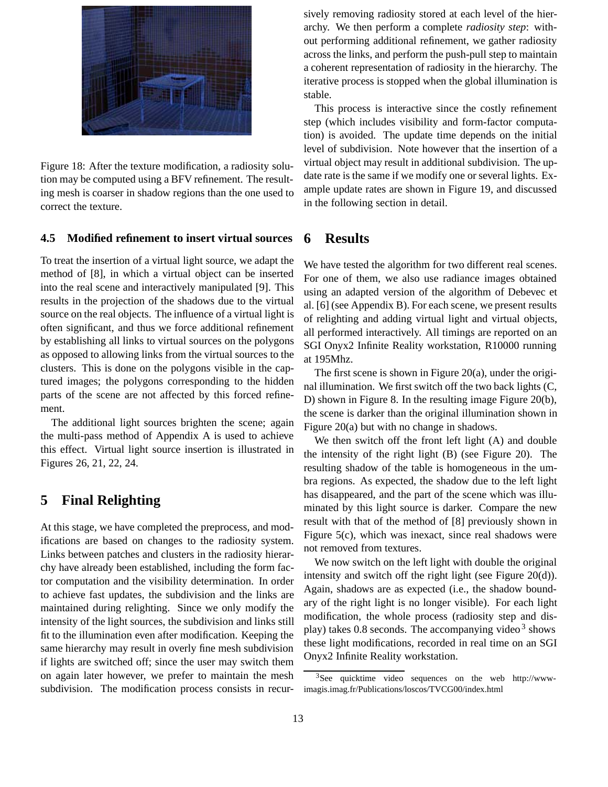

Figure 18: After the texture modification, a radiosity solution may be computed using a BFV refinement. The resulting mesh is coarser in shadow regions than the one used to correct the texture.

#### **4.5 Modified refinement to insert virtual sources**

To treat the insertion of a virtual light source, we adapt the method of [8], in which a virtual object can be inserted into the real scene and interactively manipulated [9]. This results in the projection of the shadows due to the virtual source on the real objects. The influence of a virtual light is often significant, and thus we force additional refinement by establishing all links to virtual sources on the polygons as opposed to allowing links from the virtual sources to the clusters. This is done on the polygons visible in the captured images; the polygons corresponding to the hidden parts of the scene are not affected by this forced refinement.

The additional light sources brighten the scene; again the multi-pass method of Appendix A is used to achieve this effect. Virtual light source insertion is illustrated in Figures 26, 21, 22, 24.

## **5 Final Relighting**

At this stage, we have completed the preprocess, and modifications are based on changes to the radiosity system. Links between patches and clusters in the radiosity hierarchy have already been established, including the form factor computation and the visibility determination. In order to achieve fast updates, the subdivision and the links are maintained during relighting. Since we only modify the intensity of the light sources, the subdivision and links still fit to the illumination even after modification. Keeping the same hierarchy may result in overly fine mesh subdivision if lights are switched off; since the user may switch them on again later however, we prefer to maintain the mesh subdivision. The modification process consists in recursively removing radiosity stored at each level of the hierarchy. We then perform a complete *radiosity step*: without performing additional refinement, we gather radiosity across the links, and perform the push-pull step to maintain a coherent representation of radiosity in the hierarchy. The iterative process is stopped when the global illumination is stable.

This process is interactive since the costly refinement step (which includes visibility and form-factor computation) is avoided. The update time depends on the initial level of subdivision. Note however that the insertion of a virtual object may result in additional subdivision. The update rate is the same if we modify one or several lights. Example update rates are shown in Figure 19, and discussed in the following section in detail.

#### **6 Results**

We have tested the algorithm for two different real scenes. For one of them, we also use radiance images obtained using an adapted version of the algorithm of Debevec et al. [6] (see Appendix B). For each scene, we present results of relighting and adding virtual light and virtual objects, all performed interactively. All timings are reported on an SGI Onyx2 Infinite Reality workstation, R10000 running at 195Mhz.

The first scene is shown in Figure 20(a), under the original illumination. We first switch off the two back lights (C, D) shown in Figure 8. In the resulting image Figure 20(b), the scene is darker than the original illumination shown in Figure 20(a) but with no change in shadows.

We then switch off the front left light (A) and double the intensity of the right light (B) (see Figure 20). The resulting shadow of the table is homogeneous in the umbra regions. As expected, the shadow due to the left light has disappeared, and the part of the scene which was illuminated by this light source is darker. Compare the new result with that of the method of [8] previously shown in Figure 5(c), which was inexact, since real shadows were not removed from textures.

We now switch on the left light with double the original intensity and switch off the right light (see Figure 20(d)). Again, shadows are as expected (i.e., the shadow boundary of the right light is no longer visible). For each light modification, the whole process (radiosity step and display) takes 0.8 seconds. The accompanying video<sup>3</sup> shows these light modifications, recorded in real time on an SGI Onyx2 Infinite Reality workstation.

 $3$ See quicktime video sequences on the web http://wwwimagis.imag.fr/Publications/loscos/TVCG00/index.html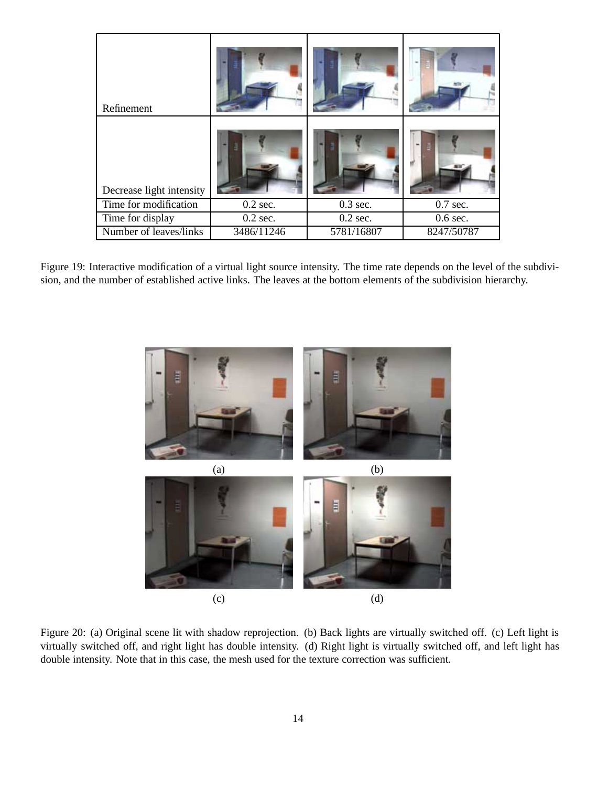| Refinement               |            |            |            |
|--------------------------|------------|------------|------------|
| Decrease light intensity |            |            |            |
| Time for modification    | $0.2$ sec. | 0.3 sec.   | 0.7 sec.   |
| Time for display         | $0.2$ sec. | $0.2$ sec. | $0.6$ sec. |
| Number of leaves/links   | 3486/11246 | 5781/16807 | 8247/50787 |

Figure 19: Interactive modification of a virtual light source intensity. The time rate depends on the level of the subdivision, and the number of established active links. The leaves at the bottom elements of the subdivision hierarchy.



Figure 20: (a) Original scene lit with shadow reprojection. (b) Back lights are virtually switched off. (c) Left light is virtually switched off, and right light has double intensity. (d) Right light is virtually switched off, and left light has double intensity. Note that in this case, the mesh used for the texture correction was sufficient.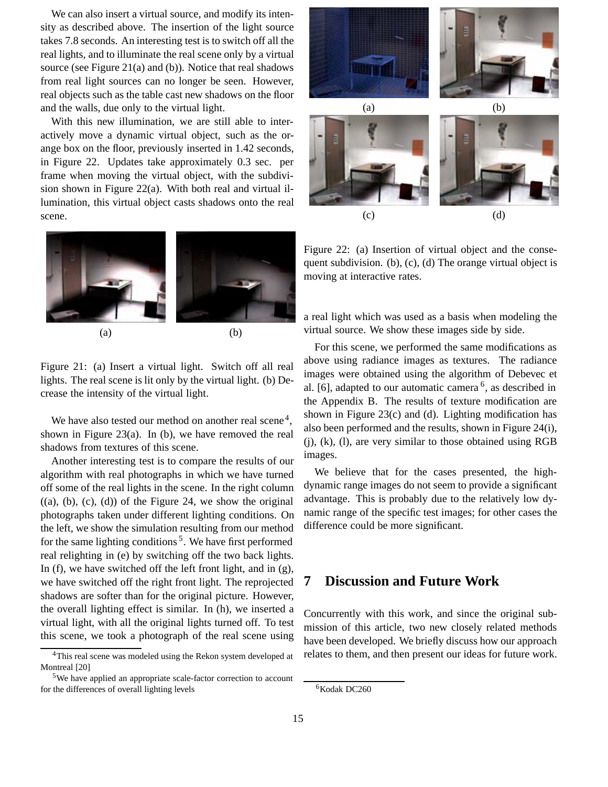We can also insert a virtual source, and modify its intensity as described above. The insertion of the light source takes 7.8 seconds. An interesting test is to switch off all the real lights, and to illuminate the real scene only by a virtual source (see Figure 21(a) and (b)). Notice that real shadows from real light sources can no longer be seen. However, real objects such as the table cast new shadows on the floor and the walls, due only to the virtual light.

With this new illumination, we are still able to interactively move a dynamic virtual object, such as the orange box on the floor, previously inserted in 1.42 seconds, in Figure 22. Updates take approximately 0.3 sec. per frame when moving the virtual object, with the subdivision shown in Figure 22(a). With both real and virtual illumination, this virtual object casts shadows onto the real scene.



Figure 21: (a) Insert a virtual light. Switch off all real lights. The real scene is lit only by the virtual light. (b) Decrease the intensity of the virtual light.

We have also tested our method on another real scene<sup>4</sup>, shown in Figure  $23(a)$ . In (b), we have removed the real shadows from textures of this scene.

Another interesting test is to compare the results of our algorithm with real photographs in which we have turned off some of the real lights in the scene. In the right column  $((a), (b), (c), (d))$  of the Figure 24, we show the original photographs taken under different lighting conditions. On the left, we show the simulation resulting from our method for the same lighting conditions<sup>5</sup>. We have first performed real relighting in (e) by switching off the two back lights. In  $(f)$ , we have switched off the left front light, and in  $(g)$ , we have switched off the right front light. The reprojected shadows are softer than for the original picture. However, the overall lighting effect is similar. In (h), we inserted a virtual light, with all the original lights turned off. To test this scene, we took a photograph of the real scene using



Figure 22: (a) Insertion of virtual object and the consequent subdivision. (b), (c), (d) The orange virtual object is moving at interactive rates.

a real light which was used as a basis when modeling the virtual source. We show these images side by side.

For this scene, we performed the same modifications as above using radiance images as textures. The radiance images were obtained using the algorithm of Debevec et al. [6], adapted to our automatic camera  $6$ , as described in the Appendix B. The results of texture modification are shown in Figure 23(c) and (d). Lighting modification has also been performed and the results, shown in Figure 24(i), (j), (k), (l), are very similar to those obtained using RGB images.

We believe that for the cases presented, the highdynamic range images do not seem to provide a significant advantage. This is probably due to the relatively low dynamic range of the specific test images; for other cases the difference could be more significant.

# **7 Discussion and Future Work**

Concurrently with this work, and since the original submission of this article, two new closely related methods have been developed. We briefly discuss how our approach relates to them, and then present our ideas for future work.

<sup>&</sup>lt;sup>4</sup>This real scene was modeled using the Rekon system developed at Montreal [20]

<sup>5</sup>We have applied an appropriate scale-factor correction to account for the differences of overall lighting levels

<sup>&</sup>lt;sup>6</sup>Kodak DC260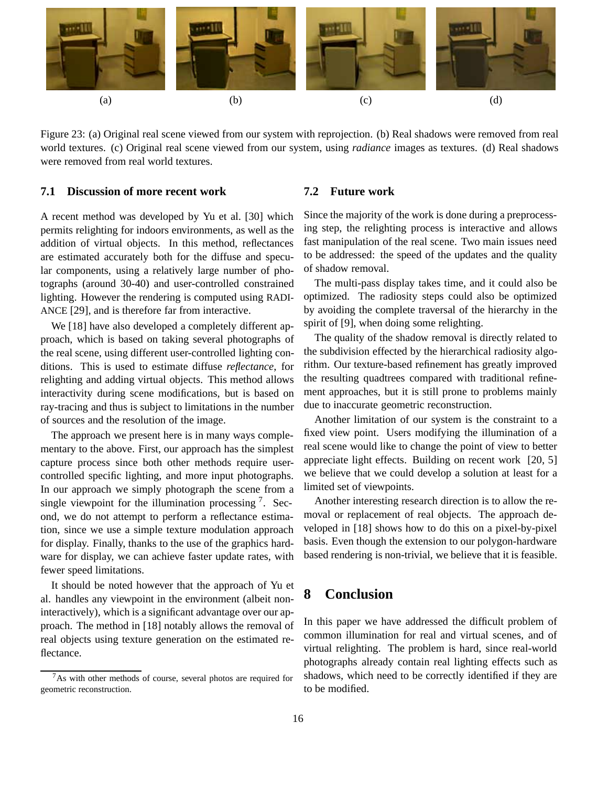

Figure 23: (a) Original real scene viewed from our system with reprojection. (b) Real shadows were removed from real world textures. (c) Original real scene viewed from our system, using *radiance* images as textures. (d) Real shadows were removed from real world textures.

#### **7.1 Discussion of more recent work**

A recent method was developed by Yu et al. [30] which permits relighting for indoors environments, as well as the addition of virtual objects. In this method, reflectances are estimated accurately both for the diffuse and specular components, using a relatively large number of photographs (around 30-40) and user-controlled constrained lighting. However the rendering is computed using RADI-ANCE [29], and is therefore far from interactive.

We [18] have also developed a completely different approach, which is based on taking several photographs of the real scene, using different user-controlled lighting conditions. This is used to estimate diffuse *reflectance*, for relighting and adding virtual objects. This method allows interactivity during scene modifications, but is based on ray-tracing and thus is subject to limitations in the number of sources and the resolution of the image.

The approach we present here is in many ways complementary to the above. First, our approach has the simplest capture process since both other methods require usercontrolled specific lighting, and more input photographs. In our approach we simply photograph the scene from a single viewpoint for the illumination processing  $7$ . Second, we do not attempt to perform a reflectance estimation, since we use a simple texture modulation approach for display. Finally, thanks to the use of the graphics hardware for display, we can achieve faster update rates, with fewer speed limitations.

It should be noted however that the approach of Yu et al. handles any viewpoint in the environment (albeit noninteractively), which is a significant advantage over our approach. The method in [18] notably allows the removal of real objects using texture generation on the estimated reflectance.

#### **7.2 Future work**

Since the majority of the work is done during a preprocessing step, the relighting process is interactive and allows fast manipulation of the real scene. Two main issues need to be addressed: the speed of the updates and the quality of shadow removal.

The multi-pass display takes time, and it could also be optimized. The radiosity steps could also be optimized by avoiding the complete traversal of the hierarchy in the spirit of [9], when doing some relighting.

The quality of the shadow removal is directly related to the subdivision effected by the hierarchical radiosity algorithm. Our texture-based refinement has greatly improved the resulting quadtrees compared with traditional refinement approaches, but it is still prone to problems mainly due to inaccurate geometric reconstruction.

Another limitation of our system is the constraint to a fixed view point. Users modifying the illumination of a real scene would like to change the point of view to better appreciate light effects. Building on recent work [20, 5] we believe that we could develop a solution at least for a limited set of viewpoints.

Another interesting research direction is to allow the removal or replacement of real objects. The approach developed in [18] shows how to do this on a pixel-by-pixel basis. Even though the extension to our polygon-hardware based rendering is non-trivial, we believe that it is feasible.

# **8 Conclusion**

In this paper we have addressed the difficult problem of common illumination for real and virtual scenes, and of virtual relighting. The problem is hard, since real-world photographs already contain real lighting effects such as shadows, which need to be correctly identified if they are to be modified.

 $7As$  with other methods of course, several photos are required for geometric reconstruction.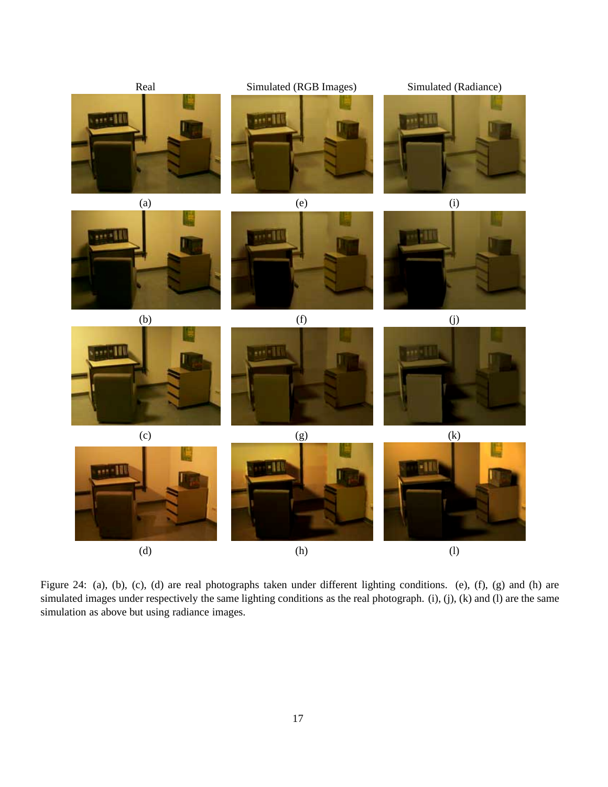

Figure 24: (a), (b), (c), (d) are real photographs taken under different lighting conditions. (e), (f), (g) and (h) are simulated images under respectively the same lighting conditions as the real photograph. (i), (j), (k) and (l) are the same simulation as above but using radiance images.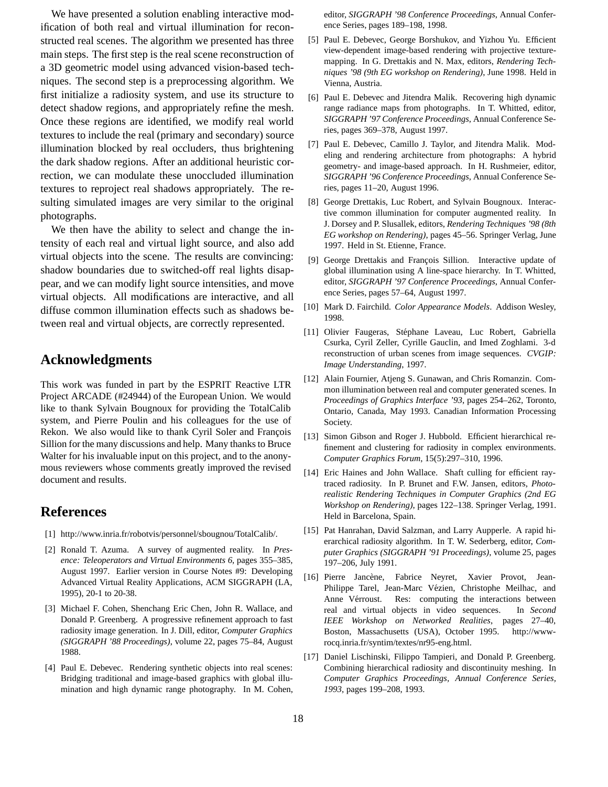We have presented a solution enabling interactive modification of both real and virtual illumination for reconstructed real scenes. The algorithm we presented has three main steps. The first step is the real scene reconstruction of a 3D geometric model using advanced vision-based techniques. The second step is a preprocessing algorithm. We first initialize a radiosity system, and use its structure to detect shadow regions, and appropriately refine the mesh. Once these regions are identified, we modify real world textures to include the real (primary and secondary) source illumination blocked by real occluders, thus brightening the dark shadow regions. After an additional heuristic correction, we can modulate these unoccluded illumination textures to reproject real shadows appropriately. The resulting simulated images are very similar to the original photographs.

We then have the ability to select and change the intensity of each real and virtual light source, and also add virtual objects into the scene. The results are convincing: shadow boundaries due to switched-off real lights disappear, and we can modify light source intensities, and move virtual objects. All modifications are interactive, and all diffuse common illumination effects such as shadows between real and virtual objects, are correctly represented.

## **Acknowledgments**

This work was funded in part by the ESPRIT Reactive LTR Project ARCADE (#24944) of the European Union. We would like to thank Sylvain Bougnoux for providing the TotalCalib system, and Pierre Poulin and his colleagues for the use of Rekon. We also would like to thank Cyril Soler and François Sillion for the many discussions and help. Many thanks to Bruce Walter for his invaluable input on this project, and to the anonymous reviewers whose comments greatly improved the revised document and results.

# **References**

- [1] http://www.inria.fr/robotvis/personnel/sbougnou/TotalCalib/.
- [2] Ronald T. Azuma. A survey of augmented reality. In *Presence: Teleoperators and Virtual Environments 6*, pages 355–385, August 1997. Earlier version in Course Notes #9: Developing Advanced Virtual Reality Applications, ACM SIGGRAPH (LA, 1995), 20-1 to 20-38.
- [3] Michael F. Cohen, Shenchang Eric Chen, John R. Wallace, and Donald P. Greenberg. A progressive refinement approach to fast radiosity image generation. In J. Dill, editor, *Computer Graphics (SIGGRAPH '88 Proceedings)*, volume 22, pages 75–84, August 1988.
- [4] Paul E. Debevec. Rendering synthetic objects into real scenes: Bridging traditional and image-based graphics with global illumination and high dynamic range photography. In M. Cohen,

editor, *SIGGRAPH '98 Conference Proceedings*, Annual Conference Series, pages 189–198, 1998.

- [5] Paul E. Debevec, George Borshukov, and Yizhou Yu. Efficient view-dependent image-based rendering with projective texturemapping. In G. Drettakis and N. Max, editors, *Rendering Techniques '98 (9th EG workshop on Rendering)*, June 1998. Held in Vienna, Austria.
- [6] Paul E. Debevec and Jitendra Malik. Recovering high dynamic range radiance maps from photographs. In T. Whitted, editor, *SIGGRAPH '97 Conference Proceedings*, Annual Conference Series, pages 369–378, August 1997.
- [7] Paul E. Debevec, Camillo J. Taylor, and Jitendra Malik. Modeling and rendering architecture from photographs: A hybrid geometry- and image-based approach. In H. Rushmeier, editor, *SIGGRAPH '96 Conference Proceedings*, Annual Conference Series, pages 11–20, August 1996.
- [8] George Drettakis, Luc Robert, and Sylvain Bougnoux. Interactive common illumination for computer augmented reality. In J. Dorsey and P. Slusallek, editors, *Rendering Techniques '98 (8th EG workshop on Rendering)*, pages 45–56. Springer Verlag, June 1997. Held in St. Etienne, France.
- [9] George Drettakis and François Sillion. Interactive update of global illumination using A line-space hierarchy. In T. Whitted, editor, *SIGGRAPH '97 Conference Proceedings*, Annual Conference Series, pages 57–64, August 1997.
- [10] Mark D. Fairchild. *Color Appearance Models*. Addison Wesley, 1998.
- [11] Olivier Faugeras, Stéphane Laveau, Luc Robert, Gabriella Csurka, Cyril Zeller, Cyrille Gauclin, and Imed Zoghlami. 3-d reconstruction of urban scenes from image sequences. *CVGIP: Image Understanding*, 1997.
- [12] Alain Fournier, Atjeng S. Gunawan, and Chris Romanzin. Common illumination between real and computer generated scenes. In *Proceedings of Graphics Interface '93*, pages 254–262, Toronto, Ontario, Canada, May 1993. Canadian Information Processing Society.
- [13] Simon Gibson and Roger J. Hubbold. Efficient hierarchical refinement and clustering for radiosity in complex environments. *Computer Graphics Forum*, 15(5):297–310, 1996.
- [14] Eric Haines and John Wallace. Shaft culling for efficient raytraced radiosity. In P. Brunet and F.W. Jansen, editors, *Photorealistic Rendering Techniques in Computer Graphics (2nd EG Workshop on Rendering)*, pages 122–138. Springer Verlag, 1991. Held in Barcelona, Spain.
- [15] Pat Hanrahan, David Salzman, and Larry Aupperle. A rapid hierarchical radiosity algorithm. In T. W. Sederberg, editor, *Computer Graphics (SIGGRAPH '91 Proceedings)*, volume 25, pages 197–206, July 1991.
- [16] Pierre Jancène, Fabrice Neyret, Xavier Provot, Jean-Philippe Tarel, Jean-Marc Vézien, Christophe Meilhac, and Anne Vérroust. Res: computing the interactions between real and virtual objects in video sequences. In *Second IEEE Workshop on Networked Realities*, pages 27–40, Boston, Massachusetts (USA), October 1995. http://wwwrocq.inria.fr/syntim/textes/nr95-eng.html.
- [17] Daniel Lischinski, Filippo Tampieri, and Donald P. Greenberg. Combining hierarchical radiosity and discontinuity meshing. In *Computer Graphics Proceedings, Annual Conference Series, 1993*, pages 199–208, 1993.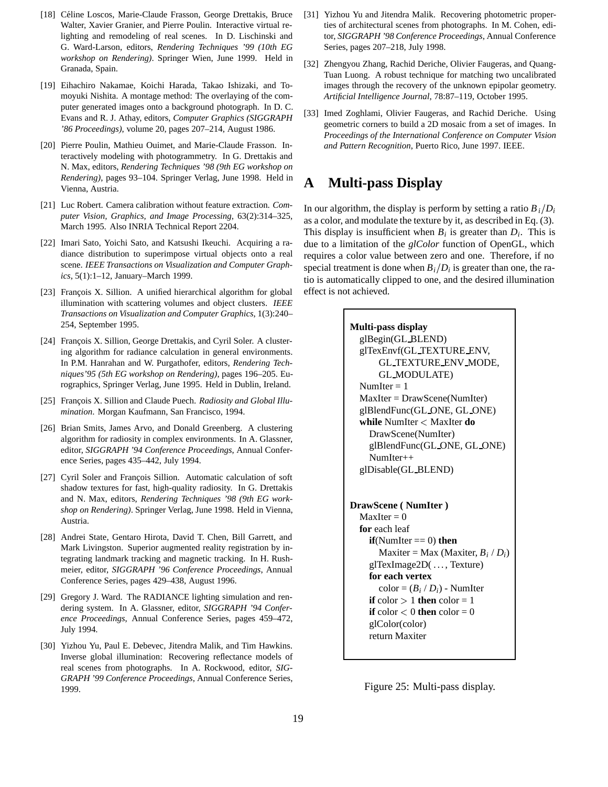- [18] Céline Loscos, Marie-Claude Frasson, George Drettakis, Bruce Walter, Xavier Granier, and Pierre Poulin. Interactive virtual relighting and remodeling of real scenes. In D. Lischinski and G. Ward-Larson, editors, *Rendering Techniques '99 (10th EG workshop on Rendering)*. Springer Wien, June 1999. Held in Granada, Spain.
- [19] Eihachiro Nakamae, Koichi Harada, Takao Ishizaki, and Tomoyuki Nishita. A montage method: The overlaying of the computer generated images onto a background photograph. In D. C. Evans and R. J. Athay, editors, *Computer Graphics (SIGGRAPH '86 Proceedings)*, volume 20, pages 207–214, August 1986.
- [20] Pierre Poulin, Mathieu Ouimet, and Marie-Claude Frasson. Interactively modeling with photogrammetry. In G. Drettakis and N. Max, editors, *Rendering Techniques '98 (9th EG workshop on Rendering)*, pages 93–104. Springer Verlag, June 1998. Held in Vienna, Austria.
- [21] Luc Robert. Camera calibration without feature extraction. *Computer Vision, Graphics, and Image Processing*, 63(2):314–325, March 1995. Also INRIA Technical Report 2204.
- [22] Imari Sato, Yoichi Sato, and Katsushi Ikeuchi. Acquiring a radiance distribution to superimpose virtual objects onto a real scene. *IEEE Transactions on Visualization and Computer Graphics*, 5(1):1–12, January–March 1999.
- [23] François X. Sillion. A unified hierarchical algorithm for global illumination with scattering volumes and object clusters. *IEEE Transactions on Visualization and Computer Graphics*, 1(3):240– 254, September 1995.
- [24] François X. Sillion, George Drettakis, and Cyril Soler. A clustering algorithm for radiance calculation in general environments. In P.M. Hanrahan and W. Purgathofer, editors, *Rendering Techniques'95 (5th EG workshop on Rendering)*, pages 196–205. Eurographics, Springer Verlag, June 1995. Held in Dublin, Ireland.
- [25] François X. Sillion and Claude Puech. *Radiosity and Global Illumination*. Morgan Kaufmann, San Francisco, 1994.
- [26] Brian Smits, James Arvo, and Donald Greenberg. A clustering algorithm for radiosity in complex environments. In A. Glassner, editor, *SIGGRAPH '94 Conference Proceedings*, Annual Conference Series, pages 435–442, July 1994.
- [27] Cyril Soler and François Sillion. Automatic calculation of soft shadow textures for fast, high-quality radiosity. In G. Drettakis and N. Max, editors, *Rendering Techniques '98 (9th EG workshop on Rendering)*. Springer Verlag, June 1998. Held in Vienna, Austria.
- [28] Andrei State, Gentaro Hirota, David T. Chen, Bill Garrett, and Mark Livingston. Superior augmented reality registration by integrating landmark tracking and magnetic tracking. In H. Rushmeier, editor, *SIGGRAPH '96 Conference Proceedings*, Annual Conference Series, pages 429–438, August 1996.
- [29] Gregory J. Ward. The RADIANCE lighting simulation and rendering system. In A. Glassner, editor, *SIGGRAPH '94 Conference Proceedings*, Annual Conference Series, pages 459–472, July 1994.
- [30] Yizhou Yu, Paul E. Debevec, Jitendra Malik, and Tim Hawkins. Inverse global illumination: Recovering reflectance models of real scenes from photographs. In A. Rockwood, editor, *SIG-GRAPH '99 Conference Proceedings*, Annual Conference Series, 1999.
- [31] Yizhou Yu and Jitendra Malik. Recovering photometric properties of architectural scenes from photographs. In M. Cohen, editor, *SIGGRAPH '98 Conference Proceedings*, Annual Conference Series, pages 207–218, July 1998.
- [32] Zhengyou Zhang, Rachid Deriche, Olivier Faugeras, and Quang-Tuan Luong. A robust technique for matching two uncalibrated images through the recovery of the unknown epipolar geometry. *Artificial Intelligence Journal*, 78:87–119, October 1995.
- [33] Imed Zoghlami, Olivier Faugeras, and Rachid Deriche. Using geometric corners to build a 2D mosaic from a set of images. In *Proceedings of the International Conference on Computer Vision and Pattern Recognition*, Puerto Rico, June 1997. IEEE.

## **A Multi-pass Display**

In our algorithm, the display is perform by setting a ratio  $B_i/D_i$ as a color, and modulate the texture by it, as described in Eq. (3). This display is insufficient when  $B_i$  is greater than  $D_i$ . This is due to a limitation of the *glColor* function of OpenGL, which requires a color value between zero and one. Therefore, if no special treatment is done when  $B_i/D_i$  is greater than one, the ratio is automatically clipped to one, and the desired illumination effect is not achieved.

| Multi-pass display                     |
|----------------------------------------|
| glBegin(GL BLEND)                      |
| glTexEnvf(GL_TEXTURE_ENV,              |
| <b>GL_TEXTURE_ENV_MODE,</b>            |
| <b>GL_MODULATE)</b>                    |
| $Number = 1$                           |
| $MaxIter = DrawSeen(S$ (NumIter)       |
| glBlendFunc(GL_ONE, GL_ONE)            |
| while NumIter $<$ MaxIter do           |
| DrawScene(NumIter)                     |
| glBlendFunc(GL_ONE, GL_ONE)            |
| $NumIter++$                            |
| glDisable(GL_BLEND)                    |
|                                        |
|                                        |
| <b>DrawScene</b> (NumIter)             |
| $MaxIter = 0$                          |
| for each leaf                          |
| $if$ (NumIter == 0) then               |
| Maxiter = Max (Maxiter, $B_i/D_i$ )    |
| glTexImage2D(, Texture)                |
| for each vertex                        |
| $color = (B_i / D_i)$ - NumIter        |
| <b>if</b> color $> 1$ then color = 1   |
| <b>if</b> color $< 0$ then color $= 0$ |
| glColor(color)                         |
| return Maxiter                         |
|                                        |
|                                        |

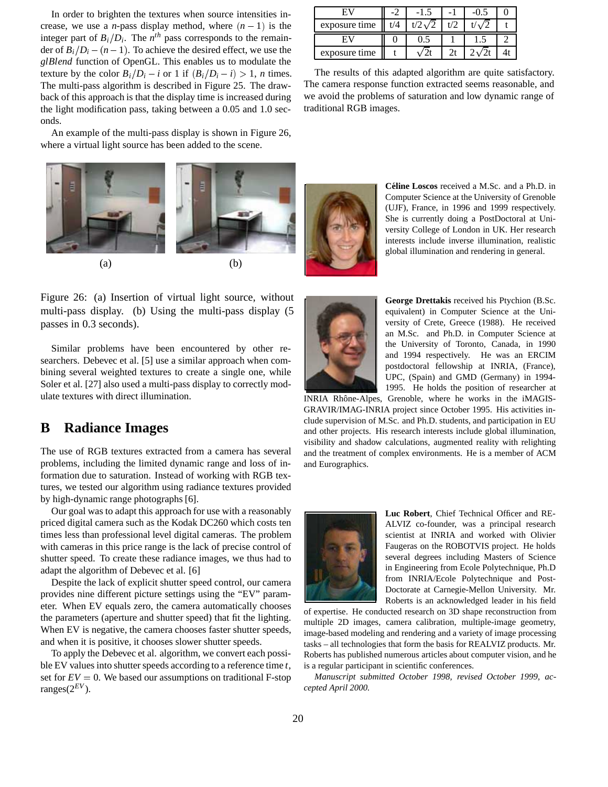In order to brighten the textures when source intensities increase, we use a *n*-pass display method, where  $(n - 1)$  is the integer part of  $B_i/D_i$ . The  $n<sup>th</sup>$  pass corresponds to the remainder of  $B_i/D_i - (n-1)$ . To achieve the desired effect, we use the *glBlend* function of OpenGL. This enables us to modulate the texture by the color  $B_i/D_i - i$  or 1 if  $(B_i/D_i - i) > 1$ , *n* times. The multi-pass algorithm is described in Figure 25. The drawback of this approach is that the display time is increased during the light modification pass, taking between a 0.05 and 1.0 seconds.

An example of the multi-pass display is shown in Figure 26, where a virtual light source has been added to the scene.



Figure 26: (a) Insertion of virtual light source, without multi-pass display. (b) Using the multi-pass display (5 passes in 0.3 seconds).

Similar problems have been encountered by other researchers. Debevec et al. [5] use a similar approach when combining several weighted textures to create a single one, while Soler et al. [27] also used a multi-pass display to correctly modulate textures with direct illumination.

## **B Radiance Images**

The use of RGB textures extracted from a camera has several problems, including the limited dynamic range and loss of information due to saturation. Instead of working with RGB textures, we tested our algorithm using radiance textures provided by high-dynamic range photographs [6].

Our goal was to adapt this approach for use with a reasonably priced digital camera such as the Kodak DC260 which costs ten times less than professional level digital cameras. The problem with cameras in this price range is the lack of precise control of shutter speed. To create these radiance images, we thus had to adapt the algorithm of Debevec et al. [6]

Despite the lack of explicit shutter speed control, our camera provides nine different picture settings using the "EV" parameter. When EV equals zero, the camera automatically chooses the parameters (aperture and shutter speed) that fit the lighting. When EV is negative, the camera chooses faster shutter speeds, and when it is positive, it chooses slower shutter speeds.

To apply the Debevec et al. algorithm, we convert each possible EV values into shutter speeds according to a reference time *t*, set for  $EV = 0$ . We based our assumptions on traditional F-stop ranges $(2^{EV})$ .

|               | $-1$ |  |  |
|---------------|------|--|--|
| exposure time |      |  |  |
|               | י. נ |  |  |
| exposure time |      |  |  |

The results of this adapted algorithm are quite satisfactory. The camera response function extracted seems reasonable, and we avoid the problems of saturation and low dynamic range of traditional RGB images.



**Céline Loscos** received a M.Sc. and a Ph.D. in Computer Science at the University of Grenoble (UJF), France, in 1996 and 1999 respectively. She is currently doing a PostDoctoral at University College of London in UK. Her research interests include inverse illumination, realistic global illumination and rendering in general.



**George Drettakis** received his Ptychion (B.Sc. equivalent) in Computer Science at the University of Crete, Greece (1988). He received an M.Sc. and Ph.D. in Computer Science at the University of Toronto, Canada, in 1990 and 1994 respectively. He was an ERCIM postdoctoral fellowship at INRIA, (France), UPC, (Spain) and GMD (Germany) in 1994- 1995. He holds the position of researcher at

INRIA Rhône-Alpes, Grenoble, where he works in the iMAGIS-GRAVIR/IMAG-INRIA project since October 1995. His activities include supervision of M.Sc. and Ph.D. students, and participation in EU and other projects. His research interests include global illumination, visibility and shadow calculations, augmented reality with relighting and the treatment of complex environments. He is a member of ACM and Eurographics.



**Luc Robert**, Chief Technical Officer and RE-ALVIZ co-founder, was a principal research scientist at INRIA and worked with Olivier Faugeras on the ROBOTVIS project. He holds several degrees including Masters of Science in Engineering from Ecole Polytechnique, Ph.D from INRIA/Ecole Polytechnique and Post-Doctorate at Carnegie-Mellon University. Mr. Roberts is an acknowledged leader in his field

of expertise. He conducted research on 3D shape reconstruction from multiple 2D images, camera calibration, multiple-image geometry, image-based modeling and rendering and a variety of image processing tasks – all technologies that form the basis for REALVIZ products. Mr. Roberts has published numerous articles about computer vision, and he is a regular participant in scientific conferences.

*Manuscript submitted October 1998, revised October 1999, accepted April 2000.*